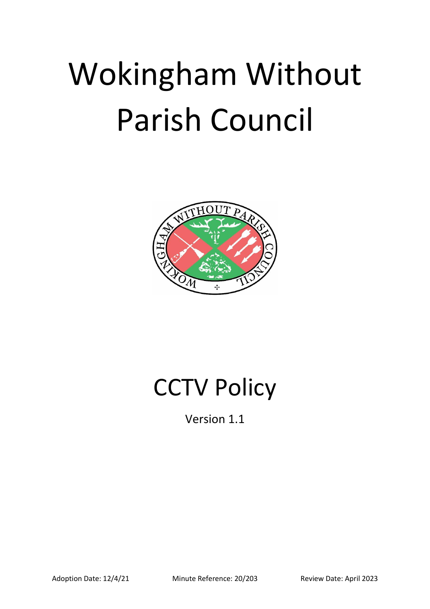# Wokingham Without Parish Council



# CCTV Policy

Version 1.1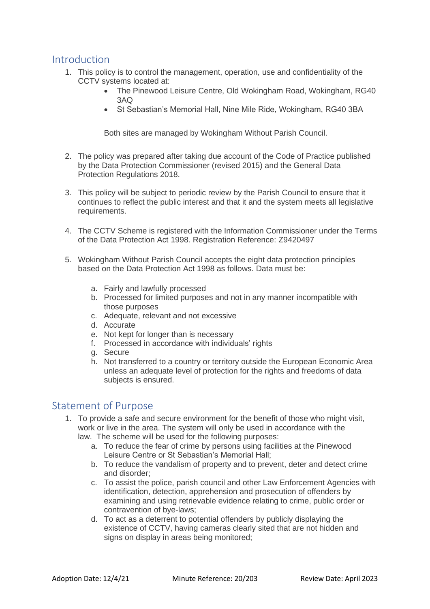#### Introduction

- 1. This policy is to control the management, operation, use and confidentiality of the CCTV systems located at:
	- The Pinewood Leisure Centre, Old Wokingham Road, Wokingham, RG40 3AQ
	- St Sebastian's Memorial Hall, Nine Mile Ride, Wokingham, RG40 3BA

Both sites are managed by Wokingham Without Parish Council.

- 2. The policy was prepared after taking due account of the Code of Practice published by the Data Protection Commissioner (revised 2015) and the General Data Protection Regulations 2018.
- 3. This policy will be subject to periodic review by the Parish Council to ensure that it continues to reflect the public interest and that it and the system meets all legislative requirements.
- 4. The CCTV Scheme is registered with the Information Commissioner under the Terms of the Data Protection Act 1998. Registration Reference: Z9420497
- 5. Wokingham Without Parish Council accepts the eight data protection principles based on the Data Protection Act 1998 as follows. Data must be:
	- a. Fairly and lawfully processed
	- b. Processed for limited purposes and not in any manner incompatible with those purposes
	- c. Adequate, relevant and not excessive
	- d. Accurate
	- e. Not kept for longer than is necessary
	- f. Processed in accordance with individuals' rights
	- g. Secure
	- h. Not transferred to a country or territory outside the European Economic Area unless an adequate level of protection for the rights and freedoms of data subjects is ensured.

### Statement of Purpose

- 1. To provide a safe and secure environment for the benefit of those who might visit, work or live in the area. The system will only be used in accordance with the law. The scheme will be used for the following purposes:
	- a. To reduce the fear of crime by persons using facilities at the Pinewood Leisure Centre or St Sebastian's Memorial Hall;
	- b. To reduce the vandalism of property and to prevent, deter and detect crime and disorder;
	- c. To assist the police, parish council and other Law Enforcement Agencies with identification, detection, apprehension and prosecution of offenders by examining and using retrievable evidence relating to crime, public order or contravention of bye-laws;
	- d. To act as a deterrent to potential offenders by publicly displaying the existence of CCTV, having cameras clearly sited that are not hidden and signs on display in areas being monitored;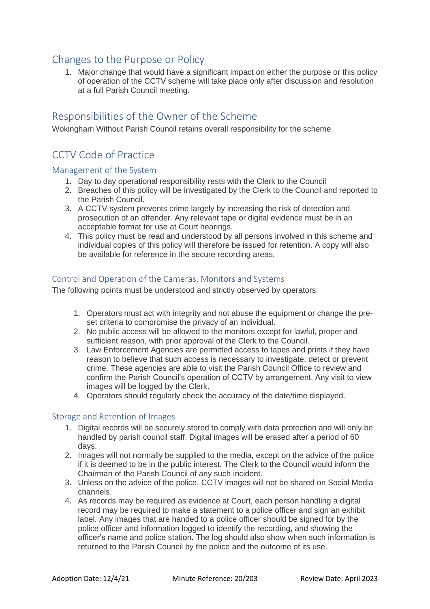## Changes to the Purpose or Policy

1. Major change that would have a significant impact on either the purpose or this policy of operation of the CCTV scheme will take place only after discussion and resolution at a full Parish Council meeting.

#### Responsibilities of the Owner of the Scheme

Wokingham Without Parish Council retains overall responsibility for the scheme.

# CCTV Code of Practice

#### Management of the System

- 1. Day to day operational responsibility rests with the Clerk to the Council
- 2. Breaches of this policy will be investigated by the Clerk to the Council and reported to the Parish Council.
- 3. A CCTV system prevents crime largely by increasing the risk of detection and prosecution of an offender. Any relevant tape or digital evidence must be in an acceptable format for use at Court hearings.
- 4. This policy must be read and understood by all persons involved in this scheme and individual copies of this policy will therefore be issued for retention. A copy will also be available for reference in the secure recording areas.

#### Control and Operation of the Cameras, Monitors and Systems

The following points must be understood and strictly observed by operators:

- 1. Operators must act with integrity and not abuse the equipment or change the preset criteria to compromise the privacy of an individual.
- 2. No public access will be allowed to the monitors except for lawful, proper and sufficient reason, with prior approval of the Clerk to the Council.
- 3. Law Enforcement Agencies are permitted access to tapes and prints if they have reason to believe that such access is necessary to investigate, detect or prevent crime. These agencies are able to visit the Parish Council Office to review and confirm the Parish Council's operation of CCTV by arrangement. Any visit to view images will be logged by the Clerk.
- 4. Operators should regularly check the accuracy of the date/time displayed.

#### Storage and Retention of Images

- 1. Digital records will be securely stored to comply with data protection and will only be handled by parish council staff. Digital images will be erased after a period of 60 days.
- 2. Images will not normally be supplied to the media, except on the advice of the police if it is deemed to be in the public interest. The Clerk to the Council would inform the Chairman of the Parish Council of any such incident.
- 3. Unless on the advice of the police, CCTV images will not be shared on Social Media channels.
- 4. As records may be required as evidence at Court, each person handling a digital record may be required to make a statement to a police officer and sign an exhibit label. Any images that are handed to a police officer should be signed for by the police officer and information logged to identify the recording, and showing the officer's name and police station. The log should also show when such information is returned to the Parish Council by the police and the outcome of its use.